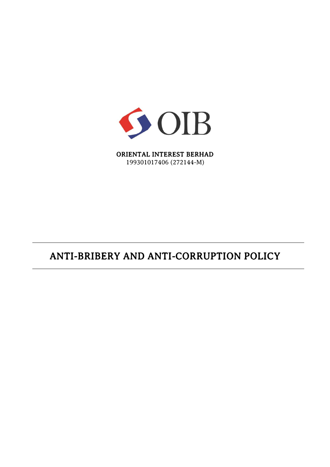

ORIENTAL INTEREST BERHAD 199301017406 (272144-M)

# ANTI-BRIBERY AND ANTI-CORRUPTION POLICY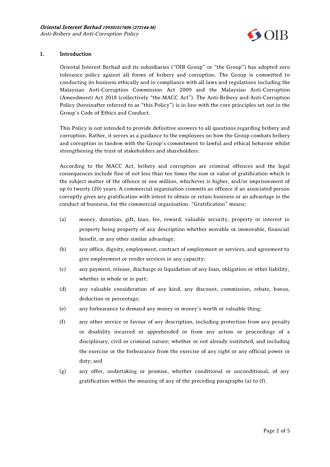

## 1. Introduction

Oriental Interest Berhad and its subsidiaries ("OIB Group" or "the Group") has adopted zero tolerance policy against all forms of bribery and corruption. The Group is committed to conducting its business ethically and in compliance with all laws and regulations including the Malaysian Anti-Corruption Commission Act 2009 and the Malaysian Anti-Corruption (Amendment) Act 2018 (collectively "the MACC Act"). The Anti-Bribery and Anti-Corruption Policy (hereinafter referred to as "this Policy") is in line with the core principles set out in the Group's Code of Ethics and Conduct.

This Policy is not intended to provide definitive answers to all questions regarding bribery and corruption. Rather, it serves as a guidance to the employees on how the Group combats bribery and corruption in tandem with the Group's commitment to lawful and ethical behavior whilst strengthening the trust of stakeholders and shareholders.

According to the MACC Act, bribery and corruption are criminal offences and the legal consequences include fine of not less than ten times the sum or value of gratification which is the subject matter of the offence or one million, whichever is higher, and/or imprisonment of up to twenty (20) years. A commercial organisation commits an offence if an associated person corruptly gives any gratification with intent to obtain or retain business or an advantage in the conduct of business, for the commercial organisation. "Gratification" means:

- (a) money, donation, gift, loan, fee, reward, valuable security, property or interest in property being property of any description whether movable or immovable, financial benefit, or any other similar advantage;
- (b) any office, dignity, employment, contract of employment or services, and agreement to give employment or render services in any capacity;
- (c) any payment, release, discharge or liquidation of any loan, obligation or other liability, whether in whole or in part;
- (d) any valuable consideration of any kind, any discount, commission, rebate, bonus, deduction or percentage;
- (e) any forbearance to demand any money or money's worth or valuable thing;
- (f) any other service or favour of any description, including protection from any penalty or disability incurred or apprehended or from any action or proceedings of a disciplinary, civil or criminal nature; whether or not already instituted, and including the exercise or the forbearance from the exercise of any right or any official power or duty; and
- (g) any offer, undertaking or promise, whether conditional or unconditional, of any gratification within the meaning of any of the preceding paragraphs (a) to (f).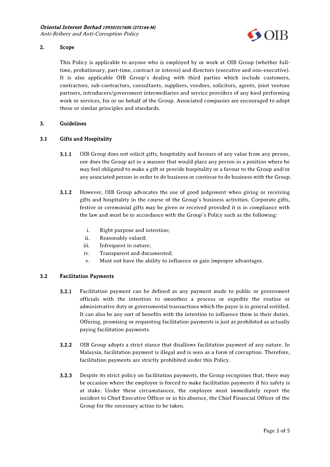

## 2. Scope

This Policy is applicable to anyone who is employed by or work at OIB Group (whether fulltime, probationary, part-time, contract or interns) and directors (executive and non-executive). It is also applicable OIB Group's dealing with third parties which include customers, contractors, sub-contractors, consultants, suppliers, vendors, solicitors, agents, joint venture partners, introducers/government intermediaries and service providers of any kind performing work or services, for or on behalf of the Group. Associated companies are encouraged to adopt these or similar principles and standards.

#### 3. Guidelines

#### 3.1 Gifts and Hospitality

- 3.1.1 OIB Group does not solicit gifts, hospitality and favours of any value from any person, nor does the Group act in a manner that would place any person in a position where he may feel obligated to make a gift or provide hospitality or a favour to the Group and/or any associated person in order to do business or continue to do business with the Group.
- 3.1.2 However, OIB Group advocates the use of good judgement when giving or receiving gifts and hospitality in the course of the Group's business activities. Corporate gifts, festive or ceremonial gifts may be given or received provided it is in compliance with the law and must be in accordance with the Group's Policy such as the following:
	- i. Right purpose and intention;
	- ii. Reasonably valued;
	- iii. Infrequent in nature;
	- iv. Transparent and documented;
	- v. Must not have the ability to influence or gain improper advantages.

#### 3.2 Facilitation Payments

- 3.2.1 Facilitation payment can be defined as any payment made to public or government officials with the intention to smoothen a process or expedite the routine or administrative duty or governmental transactions which the payer is in general entitled. It can also be any sort of benefits with the intention to influence them in their duties. Offering, promising or requesting facilitation payments is just as prohibited as actually paying facilitation payments.
- 3.2.2 OIB Group adopts a strict stance that disallows facilitation payment of any nature. In Malaysia, facilitation payment is illegal and is seen as a form of corruption. Therefore, facilitation payments are strictly prohibited under this Policy.
- **3.2.3** Despite its strict policy on facilitation payments, the Group recognises that, there may be occasion where the employee is forced to make facilitation payments if his safety is at stake. Under these circumstances, the employee must immediately report the incident to Chief Executive Officer or in his absence, the Chief Financial Officer of the Group for the necessary action to be taken.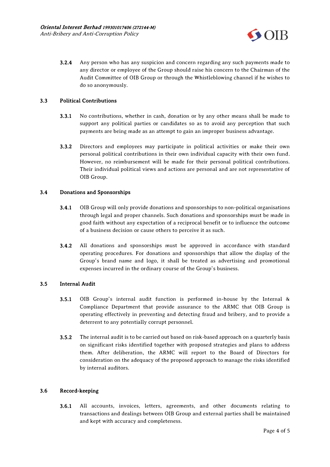

3.2.4 Any person who has any suspicion and concern regarding any such payments made to any director or employee of the Group should raise his concern to the Chairman of the Audit Committee of OIB Group or through the Whistleblowing channel if he wishes to do so anonymously.

### 3.3 Political Contributions

- 3.3.1 No contributions, whether in cash, donation or by any other means shall be made to support any political parties or candidates so as to avoid any perception that such payments are being made as an attempt to gain an improper business advantage.
- 3.3.2 Directors and employees may participate in political activities or make their own personal political contributions in their own individual capacity with their own fund. However, no reimbursement will be made for their personal political contributions. Their individual political views and actions are personal and are not representative of OIB Group.

#### 3.4 Donations and Sponsorships

- 3.4.1 OIB Group will only provide donations and sponsorships to non-political organisations through legal and proper channels. Such donations and sponsorships must be made in good faith without any expectation of a reciprocal benefit or to influence the outcome of a business decision or cause others to perceive it as such.
- 3.4.2 All donations and sponsorships must be approved in accordance with standard operating procedures. For donations and sponsorships that allow the display of the Group's brand name and logo, it shall be treated as advertising and promotional expenses incurred in the ordinary course of the Group's business.

#### 3.5 Internal Audit

- 3.5.1 OIB Group's internal audit function is performed in-house by the Internal & Compliance Department that provide assurance to the ARMC that OIB Group is operating effectively in preventing and detecting fraud and bribery, and to provide a deterrent to any potentially corrupt personnel.
- 3.5.2 The internal audit is to be carried out based on risk-based approach on a quarterly basis on significant risks identified together with proposed strategies and plans to address them. After deliberation, the ARMC will report to the Board of Directors for consideration on the adequacy of the proposed approach to manage the risks identified by internal auditors.

#### 3.6 Record-keeping

3.6.1 All accounts, invoices, letters, agreements, and other documents relating to transactions and dealings between OIB Group and external parties shall be maintained and kept with accuracy and completeness.